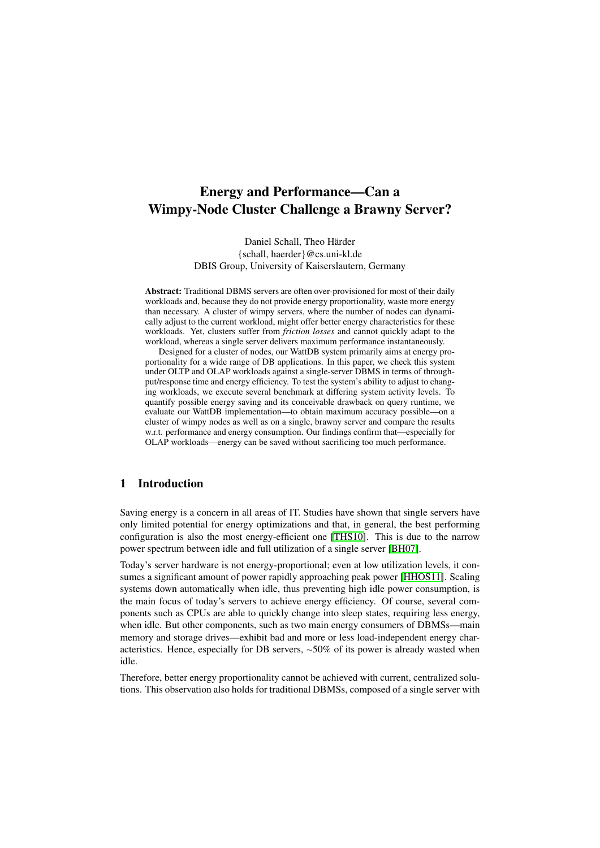# Energy and Performance—Can a Wimpy-Node Cluster Challenge a Brawny Server?

Daniel Schall, Theo Härder {schall, haerder}@cs.uni-kl.de DBIS Group, University of Kaiserslautern, Germany

Abstract: Traditional DBMS servers are often over-provisioned for most of their daily workloads and, because they do not provide energy proportionality, waste more energy than necessary. A cluster of wimpy servers, where the number of nodes can dynamically adjust to the current workload, might offer better energy characteristics for these workloads. Yet, clusters suffer from *friction losses* and cannot quickly adapt to the workload, whereas a single server delivers maximum performance instantaneously.

Designed for a cluster of nodes, our WattDB system primarily aims at energy proportionality for a wide range of DB applications. In this paper, we check this system under OLTP and OLAP workloads against a single-server DBMS in terms of throughput/response time and energy efficiency. To test the system's ability to adjust to changing workloads, we execute several benchmark at differing system activity levels. To quantify possible energy saving and its conceivable drawback on query runtime, we evaluate our WattDB implementation—to obtain maximum accuracy possible—on a cluster of wimpy nodes as well as on a single, brawny server and compare the results w.r.t. performance and energy consumption. Our findings confirm that—especially for OLAP workloads—energy can be saved without sacrificing too much performance.

# 1 Introduction

Saving energy is a concern in all areas of IT. Studies have shown that single servers have only limited potential for energy optimizations and that, in general, the best performing configuration is also the most energy-efficient one [\[THS10\]](#page-19-0). This is due to the narrow power spectrum between idle and full utilization of a single server [\[BH07\]](#page-18-0).

Today's server hardware is not energy-proportional; even at low utilization levels, it consumes a significant amount of power rapidly approaching peak power [\[HHOS11\]](#page-19-1). Scaling systems down automatically when idle, thus preventing high idle power consumption, is the main focus of today's servers to achieve energy efficiency. Of course, several components such as CPUs are able to quickly change into sleep states, requiring less energy, when idle. But other components, such as two main energy consumers of DBMSs—main memory and storage drives—exhibit bad and more or less load-independent energy characteristics. Hence, especially for DB servers, <sup>∼</sup>50% of its power is already wasted when idle.

Therefore, better energy proportionality cannot be achieved with current, centralized solutions. This observation also holds for traditional DBMSs, composed of a single server with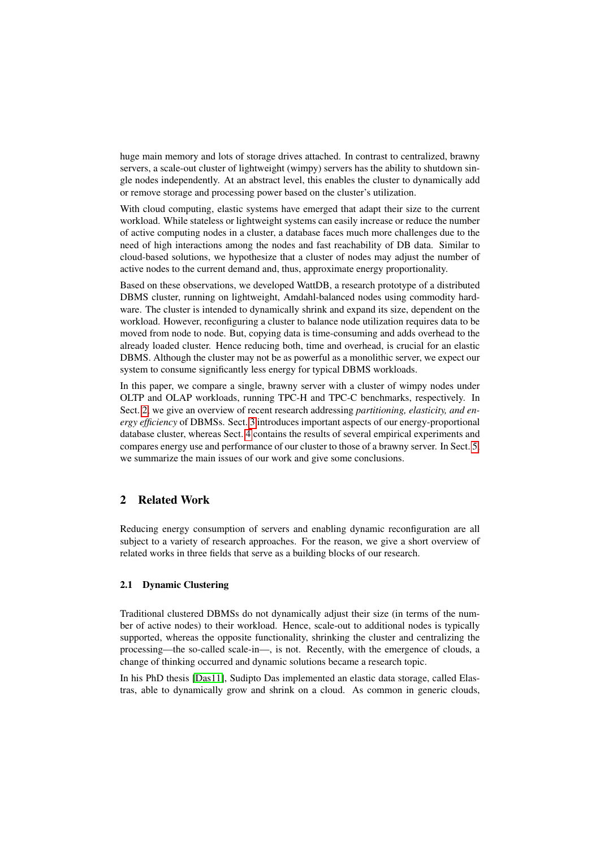huge main memory and lots of storage drives attached. In contrast to centralized, brawny servers, a scale-out cluster of lightweight (wimpy) servers has the ability to shutdown single nodes independently. At an abstract level, this enables the cluster to dynamically add or remove storage and processing power based on the cluster's utilization.

With cloud computing, elastic systems have emerged that adapt their size to the current workload. While stateless or lightweight systems can easily increase or reduce the number of active computing nodes in a cluster, a database faces much more challenges due to the need of high interactions among the nodes and fast reachability of DB data. Similar to cloud-based solutions, we hypothesize that a cluster of nodes may adjust the number of active nodes to the current demand and, thus, approximate energy proportionality.

Based on these observations, we developed WattDB, a research prototype of a distributed DBMS cluster, running on lightweight, Amdahl-balanced nodes using commodity hardware. The cluster is intended to dynamically shrink and expand its size, dependent on the workload. However, reconfiguring a cluster to balance node utilization requires data to be moved from node to node. But, copying data is time-consuming and adds overhead to the already loaded cluster. Hence reducing both, time and overhead, is crucial for an elastic DBMS. Although the cluster may not be as powerful as a monolithic server, we expect our system to consume significantly less energy for typical DBMS workloads.

In this paper, we compare a single, brawny server with a cluster of wimpy nodes under OLTP and OLAP workloads, running TPC-H and TPC-C benchmarks, respectively. In Sect. [2,](#page-1-0) we give an overview of recent research addressing *partitioning, elasticity, and energy efficiency* of DBMSs. Sect. [3](#page-3-0) introduces important aspects of our energy-proportional database cluster, whereas Sect. [4](#page-8-0) contains the results of several empirical experiments and compares energy use and performance of our cluster to those of a brawny server. In Sect. [5,](#page-18-1) we summarize the main issues of our work and give some conclusions.

# <span id="page-1-0"></span>2 Related Work

Reducing energy consumption of servers and enabling dynamic reconfiguration are all subject to a variety of research approaches. For the reason, we give a short overview of related works in three fields that serve as a building blocks of our research.

### 2.1 Dynamic Clustering

Traditional clustered DBMSs do not dynamically adjust their size (in terms of the number of active nodes) to their workload. Hence, scale-out to additional nodes is typically supported, whereas the opposite functionality, shrinking the cluster and centralizing the processing—the so-called scale-in—, is not. Recently, with the emergence of clouds, a change of thinking occurred and dynamic solutions became a research topic.

In his PhD thesis [\[Das11\]](#page-19-2), Sudipto Das implemented an elastic data storage, called Elastras, able to dynamically grow and shrink on a cloud. As common in generic clouds,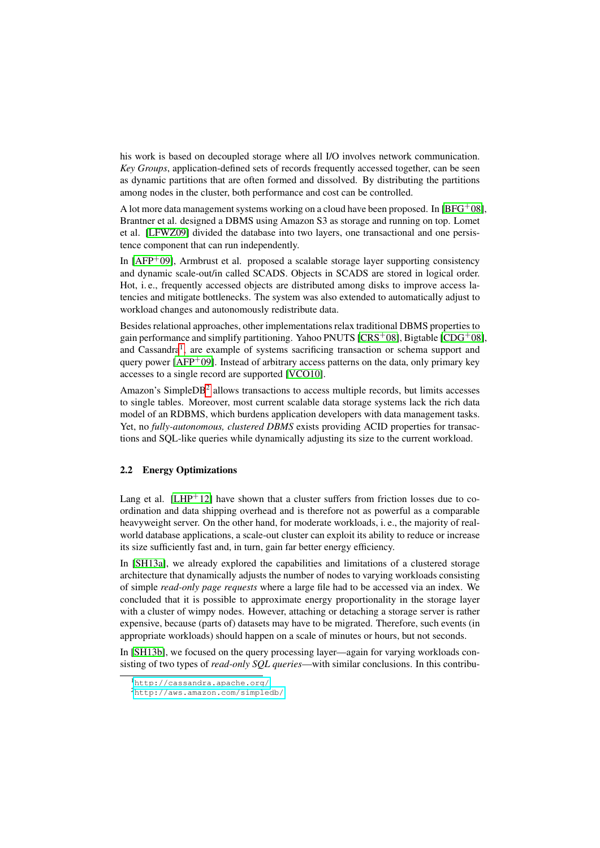his work is based on decoupled storage where all I/O involves network communication. *Key Groups*, application-defined sets of records frequently accessed together, can be seen as dynamic partitions that are often formed and dissolved. By distributing the partitions among nodes in the cluster, both performance and cost can be controlled.

A lot more data management systems working on a cloud have been proposed. In  $[BFG^+08]$  $[BFG^+08]$ , Brantner et al. designed a DBMS using Amazon S3 as storage and running on top. Lomet et al. [\[LFWZ09\]](#page-19-3) divided the database into two layers, one transactional and one persistence component that can run independently.

In  $[AFP<sup>+</sup>09]$  $[AFP<sup>+</sup>09]$ , Armbrust et al. proposed a scalable storage layer supporting consistency and dynamic scale-out/in called SCADS. Objects in SCADS are stored in logical order. Hot, i. e., frequently accessed objects are distributed among disks to improve access latencies and mitigate bottlenecks. The system was also extended to automatically adjust to workload changes and autonomously redistribute data.

Besides relational approaches, other implementations relax traditional DBMS properties to gain performance and simplify partitioning. Yahoo PNUTS  $[CRS<sup>+</sup>08]$  $[CRS<sup>+</sup>08]$ , Bigtable  $[CDG<sup>+</sup>08]$  $[CDG<sup>+</sup>08]$ , and Cassandra<sup>[1](#page-2-0)</sup>, are example of systems sacrificing transaction or schema support and query power  $[AFP^+09]$  $[AFP^+09]$ . Instead of arbitrary access patterns on the data, only primary key accesses to a single record are supported [\[VCO10\]](#page-19-6).

Amazon's Simple $DB<sup>2</sup>$  $DB<sup>2</sup>$  $DB<sup>2</sup>$  allows transactions to access multiple records, but limits accesses to single tables. Moreover, most current scalable data storage systems lack the rich data model of an RDBMS, which burdens application developers with data management tasks. Yet, no *fully-autonomous, clustered DBMS* exists providing ACID properties for transactions and SQL-like queries while dynamically adjusting its size to the current workload.

# 2.2 Energy Optimizations

Lang et al.  $[LHP^{+12}]$  $[LHP^{+12}]$  have shown that a cluster suffers from friction losses due to coordination and data shipping overhead and is therefore not as powerful as a comparable heavyweight server. On the other hand, for moderate workloads, i. e., the majority of realworld database applications, a scale-out cluster can exploit its ability to reduce or increase its size sufficiently fast and, in turn, gain far better energy efficiency.

In [\[SH13a\]](#page-19-8), we already explored the capabilities and limitations of a clustered storage architecture that dynamically adjusts the number of nodes to varying workloads consisting of simple *read-only page requests* where a large file had to be accessed via an index. We concluded that it is possible to approximate energy proportionality in the storage layer with a cluster of wimpy nodes. However, attaching or detaching a storage server is rather expensive, because (parts of) datasets may have to be migrated. Therefore, such events (in appropriate workloads) should happen on a scale of minutes or hours, but not seconds.

In [\[SH13b\]](#page-19-9), we focused on the query processing layer—again for varying workloads consisting of two types of *read-only SQL queries*—with similar conclusions. In this contribu-

<span id="page-2-0"></span><sup>1</sup><http://cassandra.apache.org/>

<span id="page-2-1"></span><sup>2</sup><http://aws.amazon.com/simpledb/>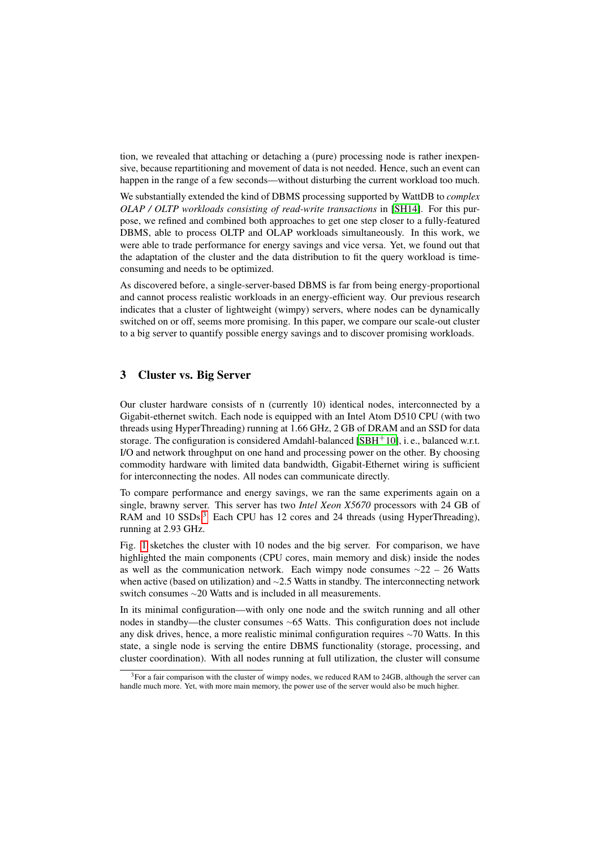tion, we revealed that attaching or detaching a (pure) processing node is rather inexpensive, because repartitioning and movement of data is not needed. Hence, such an event can happen in the range of a few seconds—without disturbing the current workload too much.

We substantially extended the kind of DBMS processing supported by WattDB to *complex OLAP / OLTP workloads consisting of read-write transactions* in [\[SH14\]](#page-19-10). For this purpose, we refined and combined both approaches to get one step closer to a fully-featured DBMS, able to process OLTP and OLAP workloads simultaneously. In this work, we were able to trade performance for energy savings and vice versa. Yet, we found out that the adaptation of the cluster and the data distribution to fit the query workload is timeconsuming and needs to be optimized.

As discovered before, a single-server-based DBMS is far from being energy-proportional and cannot process realistic workloads in an energy-efficient way. Our previous research indicates that a cluster of lightweight (wimpy) servers, where nodes can be dynamically switched on or off, seems more promising. In this paper, we compare our scale-out cluster to a big server to quantify possible energy savings and to discover promising workloads.

# <span id="page-3-0"></span>3 Cluster vs. Big Server

Our cluster hardware consists of n (currently 10) identical nodes, interconnected by a Gigabit-ethernet switch. Each node is equipped with an Intel Atom D510 CPU (with two threads using HyperThreading) running at 1.66 GHz, 2 GB of DRAM and an SSD for data storage. The configuration is considered Amdahl-balanced  $[SBH^+10]$  $[SBH^+10]$ , i. e., balanced w.r.t. I/O and network throughput on one hand and processing power on the other. By choosing commodity hardware with limited data bandwidth, Gigabit-Ethernet wiring is sufficient for interconnecting the nodes. All nodes can communicate directly.

To compare performance and energy savings, we ran the same experiments again on a single, brawny server. This server has two *Intel Xeon X5670* processors with 24 GB of RAM and 10 SSDs.<sup>[3](#page-3-1)</sup> Each CPU has 12 cores and 24 threads (using HyperThreading), running at 2.93 GHz.

Fig. [1](#page-4-0) sketches the cluster with 10 nodes and the big server. For comparison, we have highlighted the main components (CPU cores, main memory and disk) inside the nodes as well as the communication network. Each wimpy node consumes <sup>∼</sup>22 – 26 Watts when active (based on utilization) and <sup>∼</sup>2.5 Watts in standby. The interconnecting network switch consumes <sup>∼</sup>20 Watts and is included in all measurements.

In its minimal configuration—with only one node and the switch running and all other nodes in standby—the cluster consumes <sup>∼</sup>65 Watts. This configuration does not include any disk drives, hence, a more realistic minimal configuration requires <sup>∼</sup>70 Watts. In this state, a single node is serving the entire DBMS functionality (storage, processing, and cluster coordination). With all nodes running at full utilization, the cluster will consume

<span id="page-3-1"></span> $3$ For a fair comparison with the cluster of wimpy nodes, we reduced RAM to 24GB, although the server can handle much more. Yet, with more main memory, the power use of the server would also be much higher.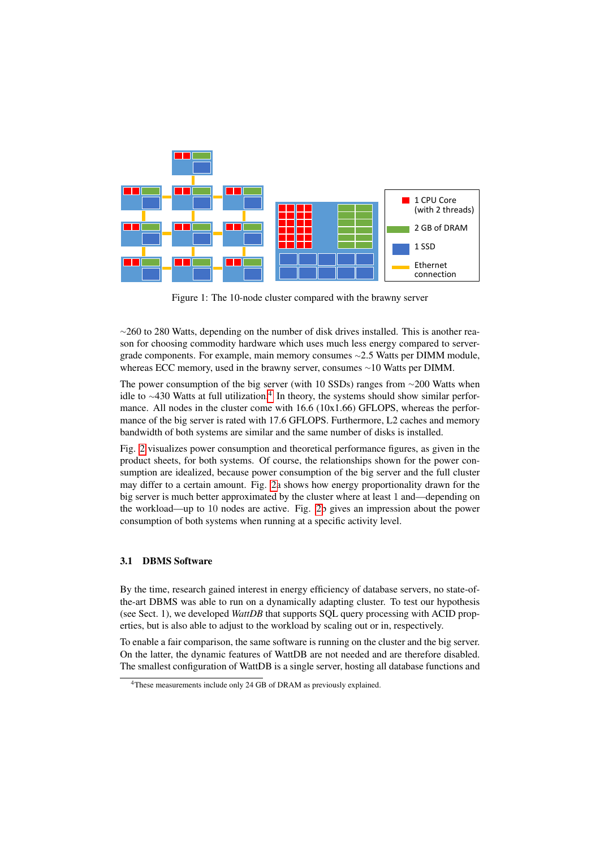<span id="page-4-0"></span>

Figure 1: The 10-node cluster compared with the brawny server

∼260 to 280 Watts, depending on the number of disk drives installed. This is another reason for choosing commodity hardware which uses much less energy compared to servergrade components. For example, main memory consumes <sup>∼</sup>2.5 Watts per DIMM module, whereas ECC memory, used in the brawny server, consumes <sup>∼</sup>10 Watts per DIMM.

The power consumption of the big server (with 10 SSDs) ranges from ∼200 Watts when idle to ~[4](#page-4-1)30 Watts at full utilization.<sup>4</sup> In theory, the systems should show similar performance. All nodes in the cluster come with 16.6 (10x1.66) GFLOPS, whereas the performance of the big server is rated with 17.6 GFLOPS. Furthermore, L2 caches and memory bandwidth of both systems are similar and the same number of disks is installed.

Fig. [2](#page-5-0) visualizes power consumption and theoretical performance figures, as given in the product sheets, for both systems. Of course, the relationships shown for the power consumption are idealized, because power consumption of the big server and the full cluster may differ to a certain amount. Fig. [2a](#page-5-0) shows how energy proportionality drawn for the big server is much better approximated by the cluster where at least 1 and—depending on the workload—up to 10 nodes are active. Fig. [2b](#page-5-0) gives an impression about the power consumption of both systems when running at a specific activity level.

### 3.1 DBMS Software

By the time, research gained interest in energy efficiency of database servers, no state-ofthe-art DBMS was able to run on a dynamically adapting cluster. To test our hypothesis (see Sect. 1), we developed *WattDB* that supports SQL query processing with ACID properties, but is also able to adjust to the workload by scaling out or in, respectively.

To enable a fair comparison, the same software is running on the cluster and the big server. On the latter, the dynamic features of WattDB are not needed and are therefore disabled. The smallest configuration of WattDB is a single server, hosting all database functions and

<span id="page-4-1"></span><sup>&</sup>lt;sup>4</sup>These measurements include only 24 GB of DRAM as previously explained.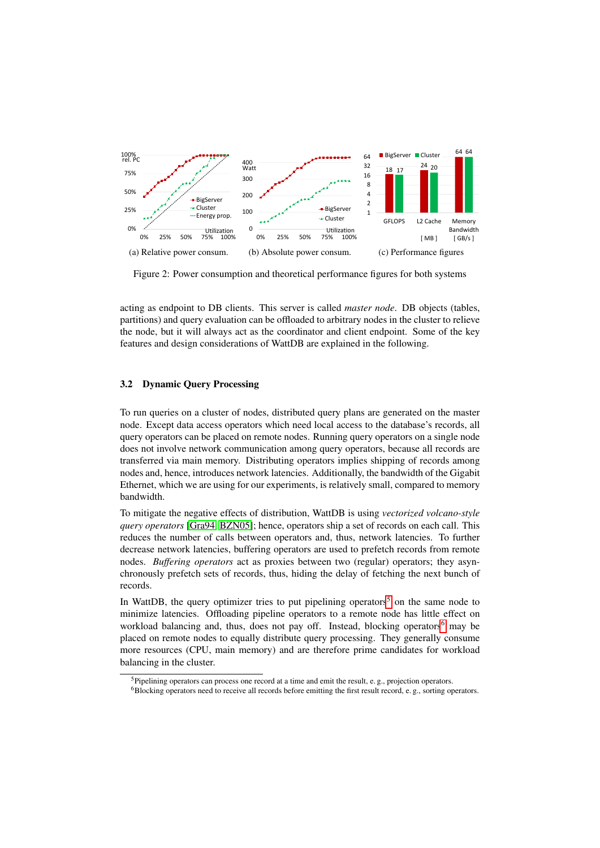<span id="page-5-0"></span>

Figure 2: Power consumption and theoretical performance figures for both systems

acting as endpoint to DB clients. This server is called *master node*. DB objects (tables, partitions) and query evaluation can be offloaded to arbitrary nodes in the cluster to relieve the node, but it will always act as the coordinator and client endpoint. Some of the key features and design considerations of WattDB are explained in the following.

### 3.2 Dynamic Query Processing

To run queries on a cluster of nodes, distributed query plans are generated on the master node. Except data access operators which need local access to the database's records, all query operators can be placed on remote nodes. Running query operators on a single node does not involve network communication among query operators, because all records are transferred via main memory. Distributing operators implies shipping of records among nodes and, hence, introduces network latencies. Additionally, the bandwidth of the Gigabit Ethernet, which we are using for our experiments, is relatively small, compared to memory bandwidth.

To mitigate the negative effects of distribution, WattDB is using *vectorized volcano-style query operators* [\[Gra94,](#page-19-12) [BZN05\]](#page-18-4); hence, operators ship a set of records on each call. This reduces the number of calls between operators and, thus, network latencies. To further decrease network latencies, buffering operators are used to prefetch records from remote nodes. *Buffering operators* act as proxies between two (regular) operators; they asynchronously prefetch sets of records, thus, hiding the delay of fetching the next bunch of records.

In WattDB, the query optimizer tries to put pipelining operators<sup>[5](#page-5-1)</sup> on the same node to minimize latencies. Offloading pipeline operators to a remote node has little effect on workload balancing and, thus, does not pay off. Instead, blocking operators<sup>[6](#page-5-2)</sup> may be placed on remote nodes to equally distribute query processing. They generally consume more resources (CPU, main memory) and are therefore prime candidates for workload balancing in the cluster.

<span id="page-5-1"></span><sup>&</sup>lt;sup>5</sup>Pipelining operators can process one record at a time and emit the result, e.g., projection operators.

<span id="page-5-2"></span><sup>&</sup>lt;sup>6</sup>Blocking operators need to receive all records before emitting the first result record, e.g., sorting operators.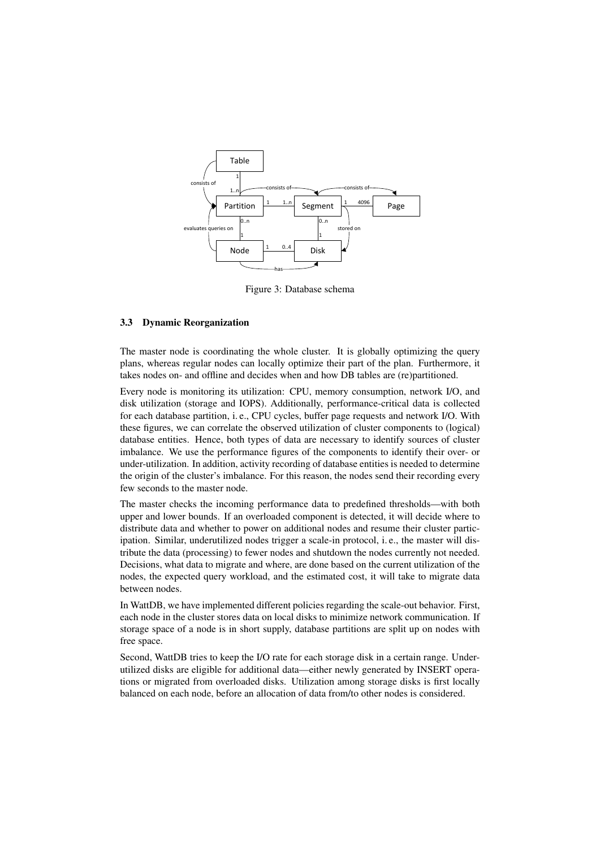<span id="page-6-0"></span>

Figure 3: Database schema

### 3.3 Dynamic Reorganization

The master node is coordinating the whole cluster. It is globally optimizing the query plans, whereas regular nodes can locally optimize their part of the plan. Furthermore, it takes nodes on- and offline and decides when and how DB tables are (re)partitioned.

Every node is monitoring its utilization: CPU, memory consumption, network I/O, and disk utilization (storage and IOPS). Additionally, performance-critical data is collected for each database partition, i. e., CPU cycles, buffer page requests and network I/O. With these figures, we can correlate the observed utilization of cluster components to (logical) database entities. Hence, both types of data are necessary to identify sources of cluster imbalance. We use the performance figures of the components to identify their over- or under-utilization. In addition, activity recording of database entities is needed to determine the origin of the cluster's imbalance. For this reason, the nodes send their recording every few seconds to the master node.

The master checks the incoming performance data to predefined thresholds—with both upper and lower bounds. If an overloaded component is detected, it will decide where to distribute data and whether to power on additional nodes and resume their cluster participation. Similar, underutilized nodes trigger a scale-in protocol, i. e., the master will distribute the data (processing) to fewer nodes and shutdown the nodes currently not needed. Decisions, what data to migrate and where, are done based on the current utilization of the nodes, the expected query workload, and the estimated cost, it will take to migrate data between nodes.

In WattDB, we have implemented different policies regarding the scale-out behavior. First, each node in the cluster stores data on local disks to minimize network communication. If storage space of a node is in short supply, database partitions are split up on nodes with free space.

Second, WattDB tries to keep the I/O rate for each storage disk in a certain range. Underutilized disks are eligible for additional data—either newly generated by INSERT operations or migrated from overloaded disks. Utilization among storage disks is first locally balanced on each node, before an allocation of data from/to other nodes is considered.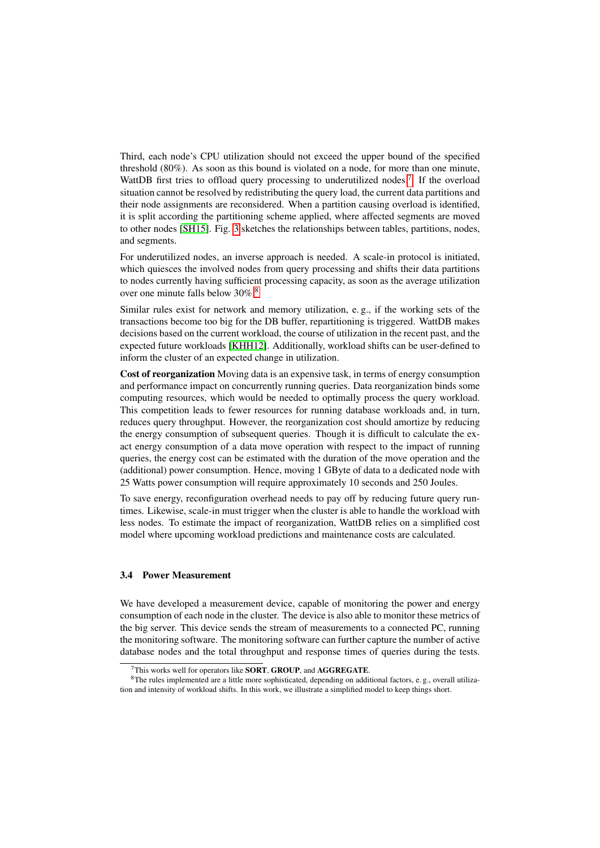Third, each node's CPU utilization should not exceed the upper bound of the specified threshold (80%). As soon as this bound is violated on a node, for more than one minute, WattDB first tries to offload query processing to underutilized nodes.<sup>[7](#page-7-0)</sup> If the overload situation cannot be resolved by redistributing the query load, the current data partitions and their node assignments are reconsidered. When a partition causing overload is identified, it is split according the partitioning scheme applied, where affected segments are moved to other nodes [\[SH15\]](#page-19-13). Fig. [3](#page-6-0) sketches the relationships between tables, partitions, nodes, and segments.

For underutilized nodes, an inverse approach is needed. A scale-in protocol is initiated, which quiesces the involved nodes from query processing and shifts their data partitions to nodes currently having sufficient processing capacity, as soon as the average utilization over one minute falls below 30%.[8](#page-7-1)

Similar rules exist for network and memory utilization, e. g., if the working sets of the transactions become too big for the DB buffer, repartitioning is triggered. WattDB makes decisions based on the current workload, the course of utilization in the recent past, and the expected future workloads [\[KHH12\]](#page-19-14). Additionally, workload shifts can be user-defined to inform the cluster of an expected change in utilization.

Cost of reorganization Moving data is an expensive task, in terms of energy consumption and performance impact on concurrently running queries. Data reorganization binds some computing resources, which would be needed to optimally process the query workload. This competition leads to fewer resources for running database workloads and, in turn, reduces query throughput. However, the reorganization cost should amortize by reducing the energy consumption of subsequent queries. Though it is difficult to calculate the exact energy consumption of a data move operation with respect to the impact of running queries, the energy cost can be estimated with the duration of the move operation and the (additional) power consumption. Hence, moving 1 GByte of data to a dedicated node with 25 Watts power consumption will require approximately 10 seconds and 250 Joules.

To save energy, reconfiguration overhead needs to pay off by reducing future query runtimes. Likewise, scale-in must trigger when the cluster is able to handle the workload with less nodes. To estimate the impact of reorganization, WattDB relies on a simplified cost model where upcoming workload predictions and maintenance costs are calculated.

### 3.4 Power Measurement

We have developed a measurement device, capable of monitoring the power and energy consumption of each node in the cluster. The device is also able to monitor these metrics of the big server. This device sends the stream of measurements to a connected PC, running the monitoring software. The monitoring software can further capture the number of active database nodes and the total throughput and response times of queries during the tests.

<span id="page-7-1"></span><span id="page-7-0"></span> $7$ This works well for operators like **SORT**, **GROUP**, and **AGGREGATE**.

<sup>8</sup>The rules implemented are a little more sophisticated, depending on additional factors, e. g., overall utilization and intensity of workload shifts. In this work, we illustrate a simplified model to keep things short.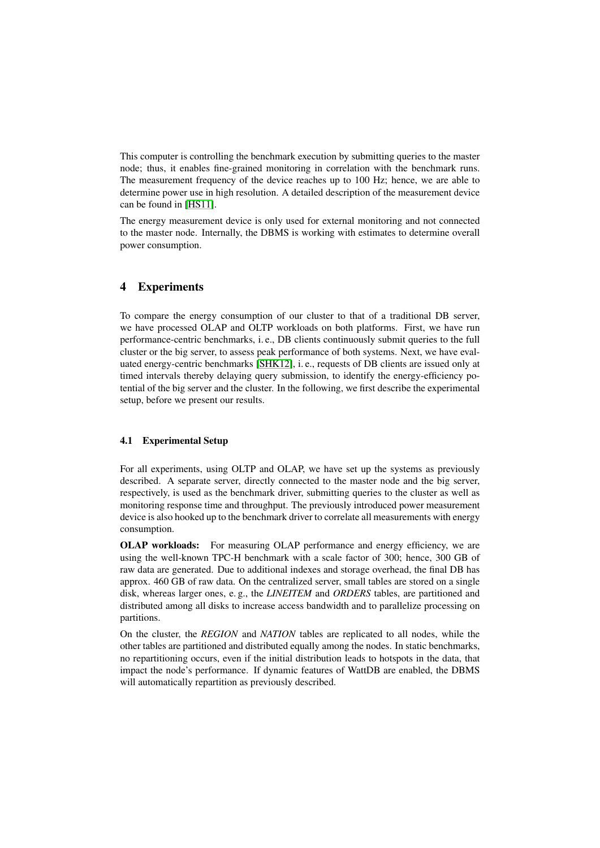This computer is controlling the benchmark execution by submitting queries to the master node; thus, it enables fine-grained monitoring in correlation with the benchmark runs. The measurement frequency of the device reaches up to 100 Hz; hence, we are able to determine power use in high resolution. A detailed description of the measurement device can be found in [\[HS11\]](#page-19-15).

The energy measurement device is only used for external monitoring and not connected to the master node. Internally, the DBMS is working with estimates to determine overall power consumption.

# <span id="page-8-0"></span>4 Experiments

To compare the energy consumption of our cluster to that of a traditional DB server, we have processed OLAP and OLTP workloads on both platforms. First, we have run performance-centric benchmarks, i. e., DB clients continuously submit queries to the full cluster or the big server, to assess peak performance of both systems. Next, we have evaluated energy-centric benchmarks [\[SHK12\]](#page-19-16), i. e., requests of DB clients are issued only at timed intervals thereby delaying query submission, to identify the energy-efficiency potential of the big server and the cluster. In the following, we first describe the experimental setup, before we present our results.

### 4.1 Experimental Setup

For all experiments, using OLTP and OLAP, we have set up the systems as previously described. A separate server, directly connected to the master node and the big server, respectively, is used as the benchmark driver, submitting queries to the cluster as well as monitoring response time and throughput. The previously introduced power measurement device is also hooked up to the benchmark driver to correlate all measurements with energy consumption.

OLAP workloads: For measuring OLAP performance and energy efficiency, we are using the well-known TPC-H benchmark with a scale factor of 300; hence, 300 GB of raw data are generated. Due to additional indexes and storage overhead, the final DB has approx. 460 GB of raw data. On the centralized server, small tables are stored on a single disk, whereas larger ones, e. g., the *LINEITEM* and *ORDERS* tables, are partitioned and distributed among all disks to increase access bandwidth and to parallelize processing on partitions.

On the cluster, the *REGION* and *NATION* tables are replicated to all nodes, while the other tables are partitioned and distributed equally among the nodes. In static benchmarks, no repartitioning occurs, even if the initial distribution leads to hotspots in the data, that impact the node's performance. If dynamic features of WattDB are enabled, the DBMS will automatically repartition as previously described.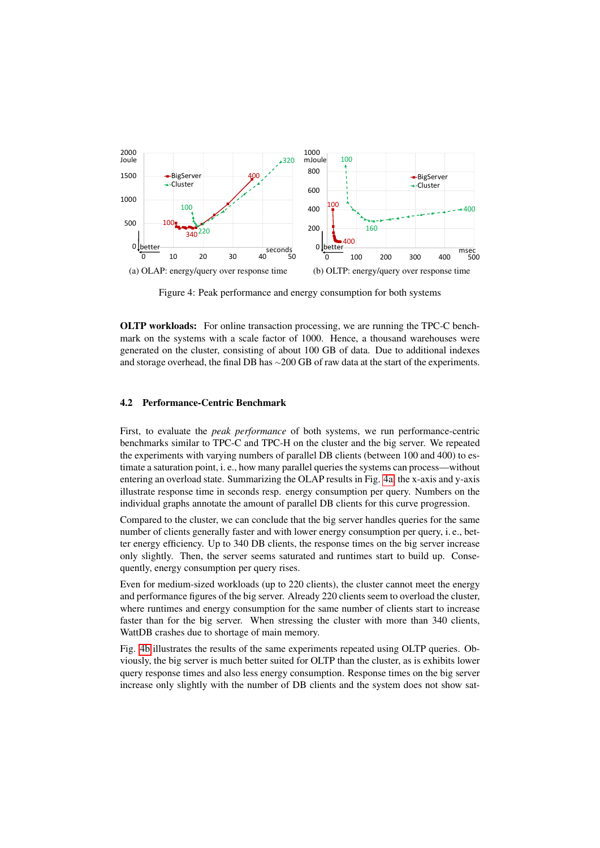<span id="page-9-0"></span>

Figure 4: Peak performance and energy consumption for both systems

OLTP workloads: For online transaction processing, we are running the TPC-C benchmark on the systems with a scale factor of 1000. Hence, a thousand warehouses were generated on the cluster, consisting of about 100 GB of data. Due to additional indexes and storage overhead, the final DB has <sup>∼</sup>200 GB of raw data at the start of the experiments.

### 4.2 Performance-Centric Benchmark

First, to evaluate the *peak performance* of both systems, we run performance-centric benchmarks similar to TPC-C and TPC-H on the cluster and the big server. We repeated the experiments with varying numbers of parallel DB clients (between 100 and 400) to estimate a saturation point, i. e., how many parallel queries the systems can process—without entering an overload state. Summarizing the OLAP results in Fig. [4a,](#page-9-0) the x-axis and y-axis illustrate response time in seconds resp. energy consumption per query. Numbers on the individual graphs annotate the amount of parallel DB clients for this curve progression.

Compared to the cluster, we can conclude that the big server handles queries for the same number of clients generally faster and with lower energy consumption per query, i. e., better energy efficiency. Up to 340 DB clients, the response times on the big server increase only slightly. Then, the server seems saturated and runtimes start to build up. Consequently, energy consumption per query rises.

Even for medium-sized workloads (up to 220 clients), the cluster cannot meet the energy and performance figures of the big server. Already 220 clients seem to overload the cluster, where runtimes and energy consumption for the same number of clients start to increase faster than for the big server. When stressing the cluster with more than 340 clients, WattDB crashes due to shortage of main memory.

Fig. [4b](#page-9-0) illustrates the results of the same experiments repeated using OLTP queries. Obviously, the big server is much better suited for OLTP than the cluster, as is exhibits lower query response times and also less energy consumption. Response times on the big server increase only slightly with the number of DB clients and the system does not show sat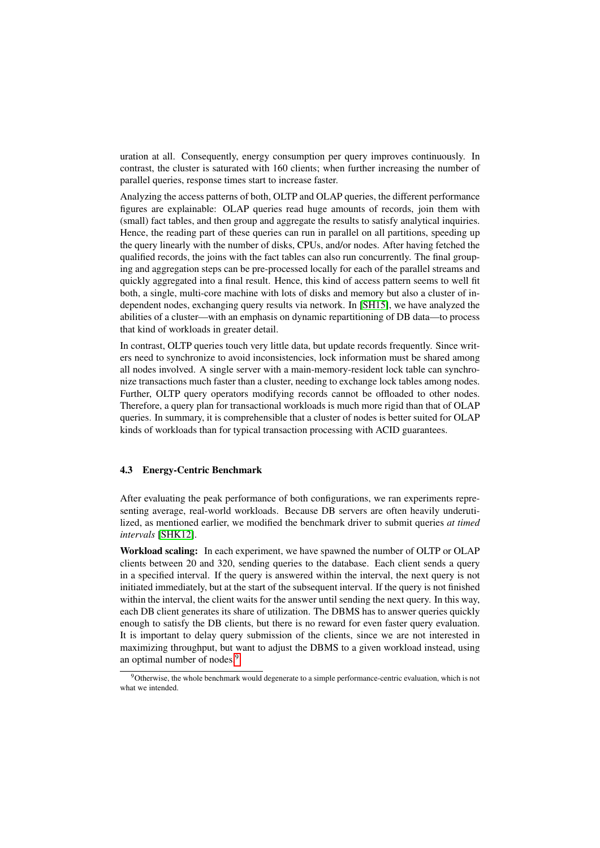uration at all. Consequently, energy consumption per query improves continuously. In contrast, the cluster is saturated with 160 clients; when further increasing the number of parallel queries, response times start to increase faster.

Analyzing the access patterns of both, OLTP and OLAP queries, the different performance figures are explainable: OLAP queries read huge amounts of records, join them with (small) fact tables, and then group and aggregate the results to satisfy analytical inquiries. Hence, the reading part of these queries can run in parallel on all partitions, speeding up the query linearly with the number of disks, CPUs, and/or nodes. After having fetched the qualified records, the joins with the fact tables can also run concurrently. The final grouping and aggregation steps can be pre-processed locally for each of the parallel streams and quickly aggregated into a final result. Hence, this kind of access pattern seems to well fit both, a single, multi-core machine with lots of disks and memory but also a cluster of independent nodes, exchanging query results via network. In [\[SH15\]](#page-19-13), we have analyzed the abilities of a cluster—with an emphasis on dynamic repartitioning of DB data—to process that kind of workloads in greater detail.

In contrast, OLTP queries touch very little data, but update records frequently. Since writers need to synchronize to avoid inconsistencies, lock information must be shared among all nodes involved. A single server with a main-memory-resident lock table can synchronize transactions much faster than a cluster, needing to exchange lock tables among nodes. Further, OLTP query operators modifying records cannot be offloaded to other nodes. Therefore, a query plan for transactional workloads is much more rigid than that of OLAP queries. In summary, it is comprehensible that a cluster of nodes is better suited for OLAP kinds of workloads than for typical transaction processing with ACID guarantees.

# 4.3 Energy-Centric Benchmark

After evaluating the peak performance of both configurations, we ran experiments representing average, real-world workloads. Because DB servers are often heavily underutilized, as mentioned earlier, we modified the benchmark driver to submit queries *at timed intervals* [\[SHK12\]](#page-19-16).

Workload scaling: In each experiment, we have spawned the number of OLTP or OLAP clients between 20 and 320, sending queries to the database. Each client sends a query in a specified interval. If the query is answered within the interval, the next query is not initiated immediately, but at the start of the subsequent interval. If the query is not finished within the interval, the client waits for the answer until sending the next query. In this way, each DB client generates its share of utilization. The DBMS has to answer queries quickly enough to satisfy the DB clients, but there is no reward for even faster query evaluation. It is important to delay query submission of the clients, since we are not interested in maximizing throughput, but want to adjust the DBMS to a given workload instead, using an optimal number of nodes.<sup>[9](#page-10-0)</sup>

<span id="page-10-0"></span><sup>&</sup>lt;sup>9</sup>Otherwise, the whole benchmark would degenerate to a simple performance-centric evaluation, which is not what we intended.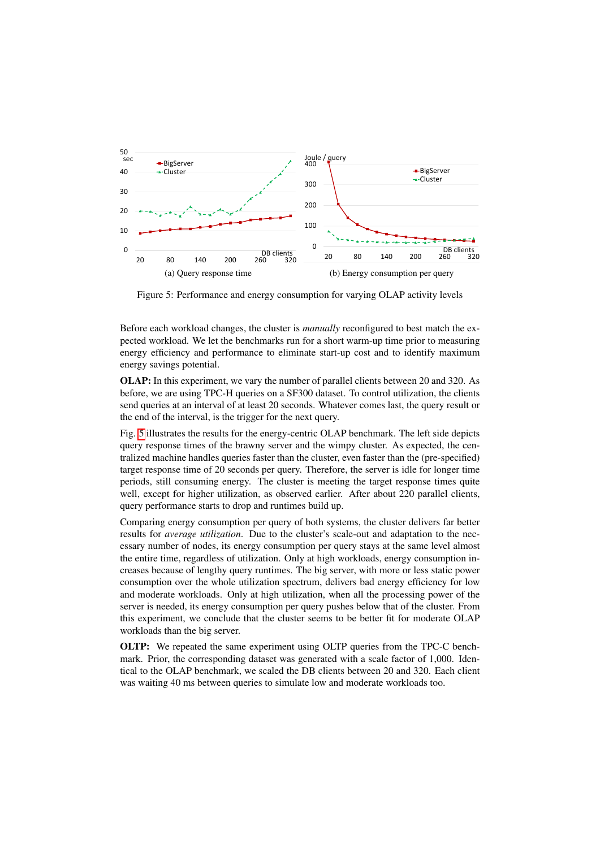<span id="page-11-0"></span>

Figure 5: Performance and energy consumption for varying OLAP activity levels

Before each workload changes, the cluster is *manually* reconfigured to best match the expected workload. We let the benchmarks run for a short warm-up time prior to measuring energy efficiency and performance to eliminate start-up cost and to identify maximum energy savings potential.

OLAP: In this experiment, we vary the number of parallel clients between 20 and 320. As before, we are using TPC-H queries on a SF300 dataset. To control utilization, the clients send queries at an interval of at least 20 seconds. Whatever comes last, the query result or the end of the interval, is the trigger for the next query.

Fig. [5](#page-11-0) illustrates the results for the energy-centric OLAP benchmark. The left side depicts query response times of the brawny server and the wimpy cluster. As expected, the centralized machine handles queries faster than the cluster, even faster than the (pre-specified) target response time of 20 seconds per query. Therefore, the server is idle for longer time periods, still consuming energy. The cluster is meeting the target response times quite well, except for higher utilization, as observed earlier. After about 220 parallel clients, query performance starts to drop and runtimes build up.

Comparing energy consumption per query of both systems, the cluster delivers far better results for *average utilization*. Due to the cluster's scale-out and adaptation to the necessary number of nodes, its energy consumption per query stays at the same level almost the entire time, regardless of utilization. Only at high workloads, energy consumption increases because of lengthy query runtimes. The big server, with more or less static power consumption over the whole utilization spectrum, delivers bad energy efficiency for low and moderate workloads. Only at high utilization, when all the processing power of the server is needed, its energy consumption per query pushes below that of the cluster. From this experiment, we conclude that the cluster seems to be better fit for moderate OLAP workloads than the big server.

OLTP: We repeated the same experiment using OLTP queries from the TPC-C benchmark. Prior, the corresponding dataset was generated with a scale factor of 1,000. Identical to the OLAP benchmark, we scaled the DB clients between 20 and 320. Each client was waiting 40 ms between queries to simulate low and moderate workloads too.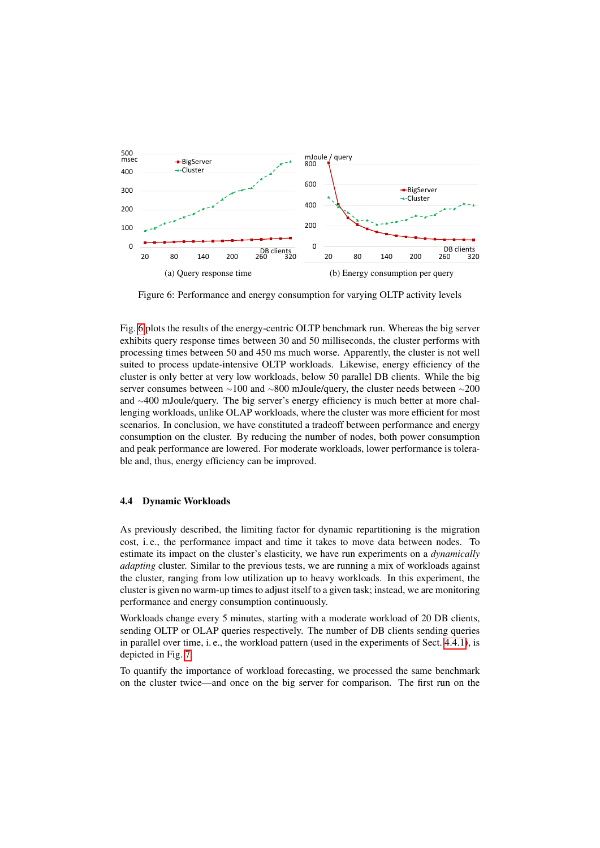<span id="page-12-0"></span>

Figure 6: Performance and energy consumption for varying OLTP activity levels

Fig. [6](#page-12-0) plots the results of the energy-centric OLTP benchmark run. Whereas the big server exhibits query response times between 30 and 50 milliseconds, the cluster performs with processing times between 50 and 450 ms much worse. Apparently, the cluster is not well suited to process update-intensive OLTP workloads. Likewise, energy efficiency of the cluster is only better at very low workloads, below 50 parallel DB clients. While the big server consumes between ∼100 and ∼800 mJoule/query, the cluster needs between ∼200 and <sup>∼</sup>400 mJoule/query. The big server's energy efficiency is much better at more challenging workloads, unlike OLAP workloads, where the cluster was more efficient for most scenarios. In conclusion, we have constituted a tradeoff between performance and energy consumption on the cluster. By reducing the number of nodes, both power consumption and peak performance are lowered. For moderate workloads, lower performance is tolerable and, thus, energy efficiency can be improved.

# 4.4 Dynamic Workloads

As previously described, the limiting factor for dynamic repartitioning is the migration cost, i. e., the performance impact and time it takes to move data between nodes. To estimate its impact on the cluster's elasticity, we have run experiments on a *dynamically adapting* cluster. Similar to the previous tests, we are running a mix of workloads against the cluster, ranging from low utilization up to heavy workloads. In this experiment, the cluster is given no warm-up times to adjust itself to a given task; instead, we are monitoring performance and energy consumption continuously.

Workloads change every 5 minutes, starting with a moderate workload of 20 DB clients, sending OLTP or OLAP queries respectively. The number of DB clients sending queries in parallel over time, i. e., the workload pattern (used in the experiments of Sect. [4.4.1\)](#page-13-0), is depicted in Fig. [7.](#page-13-1)

To quantify the importance of workload forecasting, we processed the same benchmark on the cluster twice—and once on the big server for comparison. The first run on the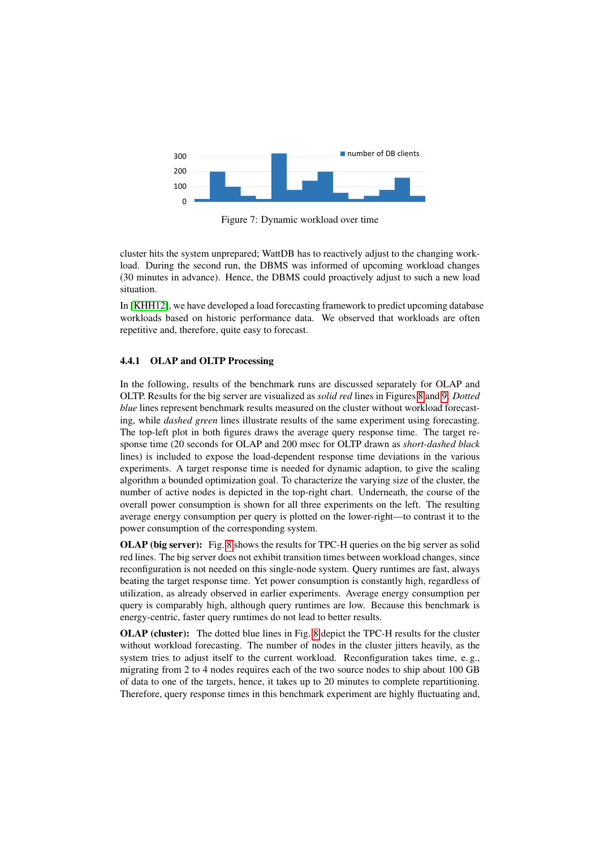<span id="page-13-1"></span>

Figure 7: Dynamic workload over time

cluster hits the system unprepared; WattDB has to reactively adjust to the changing workload. During the second run, the DBMS was informed of upcoming workload changes (30 minutes in advance). Hence, the DBMS could proactively adjust to such a new load situation.

In [\[KHH12\]](#page-19-14), we have developed a load forecasting framework to predict upcoming database workloads based on historic performance data. We observed that workloads are often repetitive and, therefore, quite easy to forecast.

### <span id="page-13-0"></span>4.4.1 OLAP and OLTP Processing

In the following, results of the benchmark runs are discussed separately for OLAP and OLTP. Results for the big server are visualized as *solid red* lines in Figures [8](#page-14-0) and [9.](#page-15-0) *Dotted blue* lines represent benchmark results measured on the cluster without workload forecasting, while *dashed green* lines illustrate results of the same experiment using forecasting. The top-left plot in both figures draws the average query response time. The target response time (20 seconds for OLAP and 200 msec for OLTP drawn as *short-dashed black* lines) is included to expose the load-dependent response time deviations in the various experiments. A target response time is needed for dynamic adaption, to give the scaling algorithm a bounded optimization goal. To characterize the varying size of the cluster, the number of active nodes is depicted in the top-right chart. Underneath, the course of the overall power consumption is shown for all three experiments on the left. The resulting average energy consumption per query is plotted on the lower-right—to contrast it to the power consumption of the corresponding system.

OLAP (big server): Fig. [8](#page-14-0) shows the results for TPC-H queries on the big server as solid red lines. The big server does not exhibit transition times between workload changes, since reconfiguration is not needed on this single-node system. Query runtimes are fast, always beating the target response time. Yet power consumption is constantly high, regardless of utilization, as already observed in earlier experiments. Average energy consumption per query is comparably high, although query runtimes are low. Because this benchmark is energy-centric, faster query runtimes do not lead to better results.

OLAP (cluster): The dotted blue lines in Fig. [8](#page-14-0) depict the TPC-H results for the cluster without workload forecasting. The number of nodes in the cluster jitters heavily, as the system tries to adjust itself to the current workload. Reconfiguration takes time, e.g., migrating from 2 to 4 nodes requires each of the two source nodes to ship about 100 GB of data to one of the targets, hence, it takes up to 20 minutes to complete repartitioning. Therefore, query response times in this benchmark experiment are highly fluctuating and,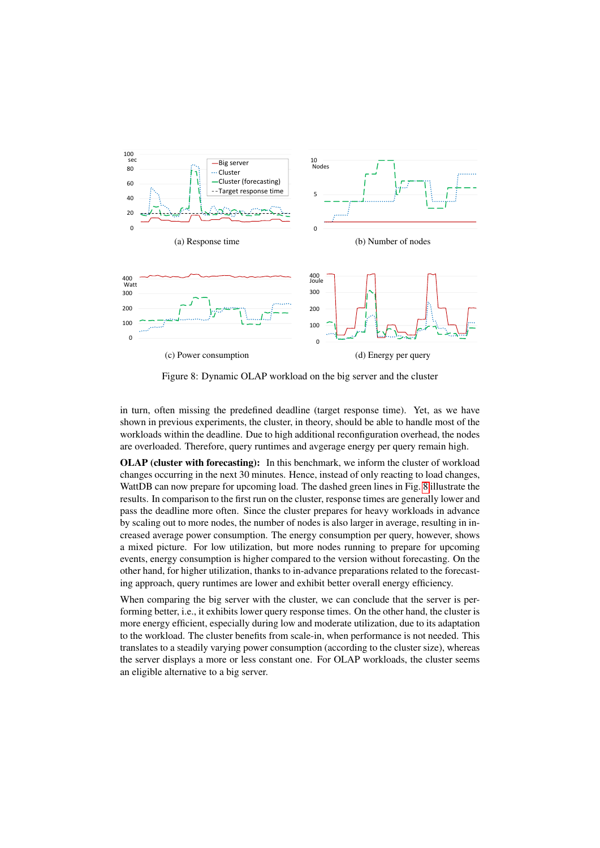<span id="page-14-0"></span>

Figure 8: Dynamic OLAP workload on the big server and the cluster

in turn, often missing the predefined deadline (target response time). Yet, as we have shown in previous experiments, the cluster, in theory, should be able to handle most of the workloads within the deadline. Due to high additional reconfiguration overhead, the nodes are overloaded. Therefore, query runtimes and avgerage energy per query remain high.

OLAP (cluster with forecasting): In this benchmark, we inform the cluster of workload changes occurring in the next 30 minutes. Hence, instead of only reacting to load changes, WattDB can now prepare for upcoming load. The dashed green lines in Fig. [8](#page-14-0) illustrate the results. In comparison to the first run on the cluster, response times are generally lower and pass the deadline more often. Since the cluster prepares for heavy workloads in advance by scaling out to more nodes, the number of nodes is also larger in average, resulting in increased average power consumption. The energy consumption per query, however, shows a mixed picture. For low utilization, but more nodes running to prepare for upcoming events, energy consumption is higher compared to the version without forecasting. On the other hand, for higher utilization, thanks to in-advance preparations related to the forecasting approach, query runtimes are lower and exhibit better overall energy efficiency.

When comparing the big server with the cluster, we can conclude that the server is performing better, i.e., it exhibits lower query response times. On the other hand, the cluster is more energy efficient, especially during low and moderate utilization, due to its adaptation to the workload. The cluster benefits from scale-in, when performance is not needed. This translates to a steadily varying power consumption (according to the cluster size), whereas the server displays a more or less constant one. For OLAP workloads, the cluster seems an eligible alternative to a big server.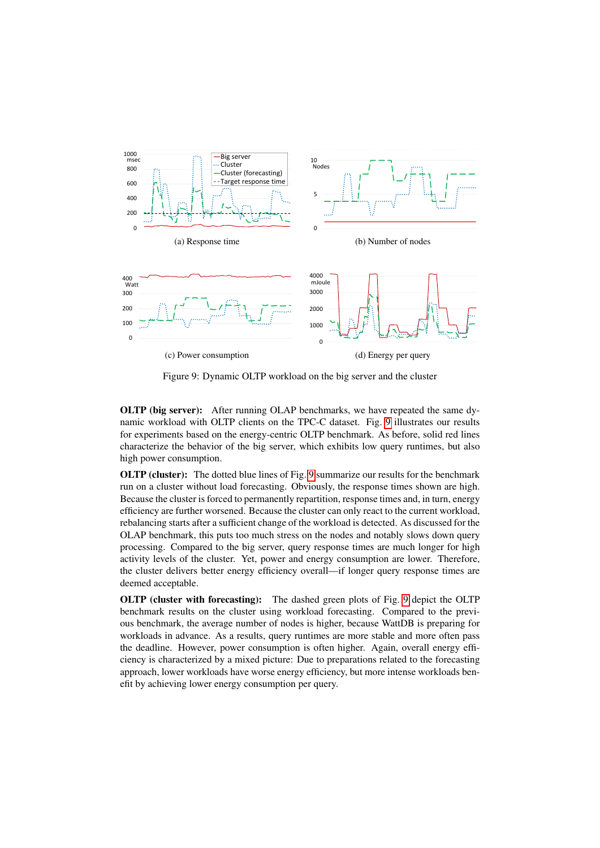<span id="page-15-0"></span>

Figure 9: Dynamic OLTP workload on the big server and the cluster

OLTP (big server): After running OLAP benchmarks, we have repeated the same dynamic workload with OLTP clients on the TPC-C dataset. Fig. [9](#page-15-0) illustrates our results for experiments based on the energy-centric OLTP benchmark. As before, solid red lines characterize the behavior of the big server, which exhibits low query runtimes, but also high power consumption.

OLTP (cluster): The dotted blue lines of Fig. [9](#page-15-0) summarize our results for the benchmark run on a cluster without load forecasting. Obviously, the response times shown are high. Because the cluster is forced to permanently repartition, response times and, in turn, energy efficiency are further worsened. Because the cluster can only react to the current workload, rebalancing starts after a sufficient change of the workload is detected. As discussed for the OLAP benchmark, this puts too much stress on the nodes and notably slows down query processing. Compared to the big server, query response times are much longer for high activity levels of the cluster. Yet, power and energy consumption are lower. Therefore, the cluster delivers better energy efficiency overall—if longer query response times are deemed acceptable.

OLTP (cluster with forecasting): The dashed green plots of Fig. [9](#page-15-0) depict the OLTP benchmark results on the cluster using workload forecasting. Compared to the previous benchmark, the average number of nodes is higher, because WattDB is preparing for workloads in advance. As a results, query runtimes are more stable and more often pass the deadline. However, power consumption is often higher. Again, overall energy efficiency is characterized by a mixed picture: Due to preparations related to the forecasting approach, lower workloads have worse energy efficiency, but more intense workloads benefit by achieving lower energy consumption per query.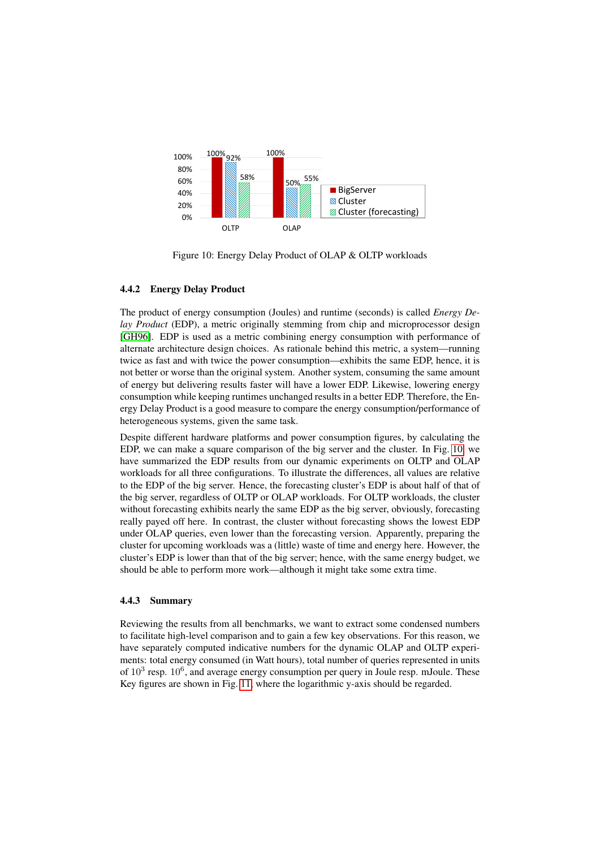<span id="page-16-0"></span>

Figure 10: Energy Delay Product of OLAP & OLTP workloads

# 4.4.2 Energy Delay Product

The product of energy consumption (Joules) and runtime (seconds) is called *Energy Delay Product* (EDP), a metric originally stemming from chip and microprocessor design [\[GH96\]](#page-19-17). EDP is used as a metric combining energy consumption with performance of alternate architecture design choices. As rationale behind this metric, a system—running twice as fast and with twice the power consumption—exhibits the same EDP, hence, it is not better or worse than the original system. Another system, consuming the same amount of energy but delivering results faster will have a lower EDP. Likewise, lowering energy consumption while keeping runtimes unchanged results in a better EDP. Therefore, the Energy Delay Product is a good measure to compare the energy consumption/performance of heterogeneous systems, given the same task.

Despite different hardware platforms and power consumption figures, by calculating the EDP, we can make a square comparison of the big server and the cluster. In Fig. [10,](#page-16-0) we have summarized the EDP results from our dynamic experiments on OLTP and OLAP workloads for all three configurations. To illustrate the differences, all values are relative to the EDP of the big server. Hence, the forecasting cluster's EDP is about half of that of the big server, regardless of OLTP or OLAP workloads. For OLTP workloads, the cluster without forecasting exhibits nearly the same EDP as the big server, obviously, forecasting really payed off here. In contrast, the cluster without forecasting shows the lowest EDP under OLAP queries, even lower than the forecasting version. Apparently, preparing the cluster for upcoming workloads was a (little) waste of time and energy here. However, the cluster's EDP is lower than that of the big server; hence, with the same energy budget, we should be able to perform more work—although it might take some extra time.

### 4.4.3 Summary

Reviewing the results from all benchmarks, we want to extract some condensed numbers to facilitate high-level comparison and to gain a few key observations. For this reason, we have separately computed indicative numbers for the dynamic OLAP and OLTP experiments: total energy consumed (in Watt hours), total number of queries represented in units of  $10^3$  resp.  $10^6$ , and average energy consumption per query in Joule resp. mJoule. These Key figures are shown in Fig. [11,](#page-17-0) where the logarithmic y-axis should be regarded.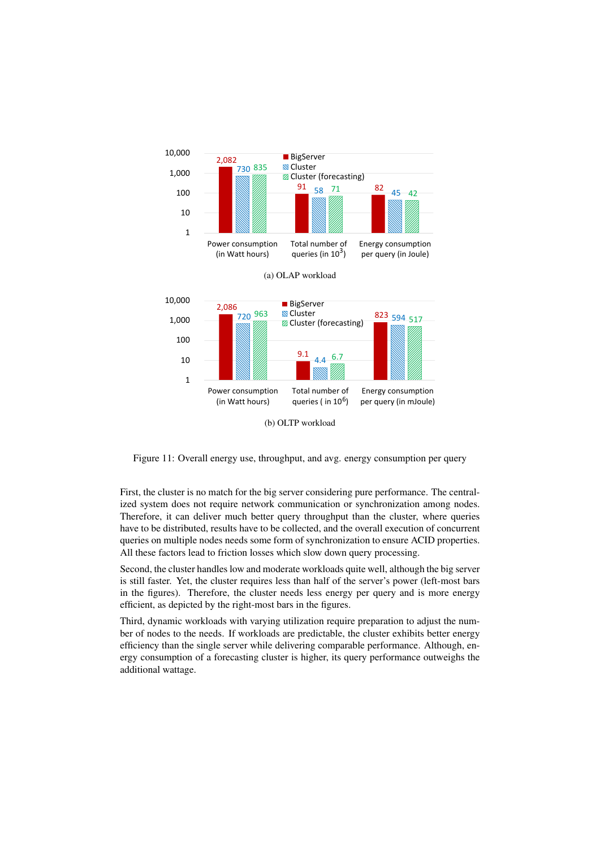<span id="page-17-0"></span>

Figure 11: Overall energy use, throughput, and avg. energy consumption per query

First, the cluster is no match for the big server considering pure performance. The centralized system does not require network communication or synchronization among nodes. Therefore, it can deliver much better query throughput than the cluster, where queries have to be distributed, results have to be collected, and the overall execution of concurrent queries on multiple nodes needs some form of synchronization to ensure ACID properties. All these factors lead to friction losses which slow down query processing.

Second, the cluster handles low and moderate workloads quite well, although the big server is still faster. Yet, the cluster requires less than half of the server's power (left-most bars in the figures). Therefore, the cluster needs less energy per query and is more energy efficient, as depicted by the right-most bars in the figures.

Third, dynamic workloads with varying utilization require preparation to adjust the number of nodes to the needs. If workloads are predictable, the cluster exhibits better energy efficiency than the single server while delivering comparable performance. Although, energy consumption of a forecasting cluster is higher, its query performance outweighs the additional wattage.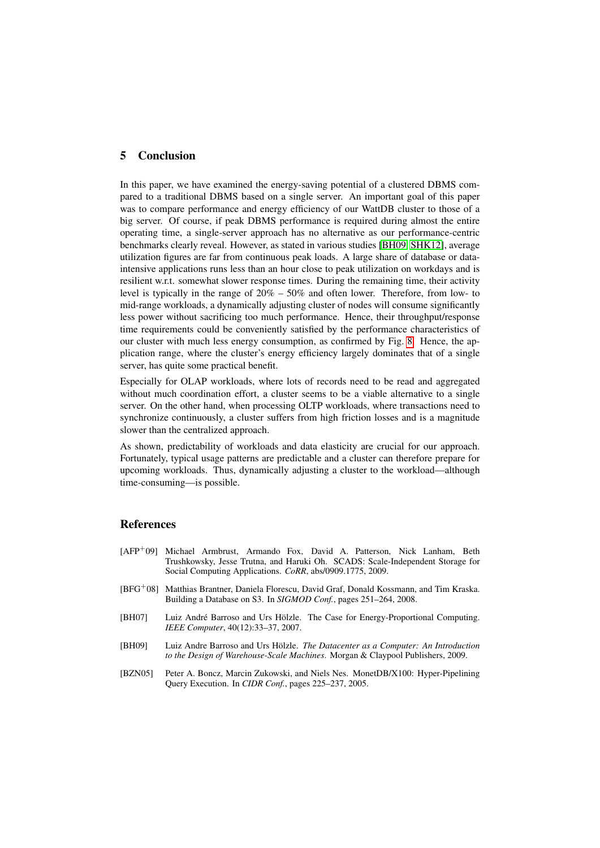# <span id="page-18-1"></span>5 Conclusion

In this paper, we have examined the energy-saving potential of a clustered DBMS compared to a traditional DBMS based on a single server. An important goal of this paper was to compare performance and energy efficiency of our WattDB cluster to those of a big server. Of course, if peak DBMS performance is required during almost the entire operating time, a single-server approach has no alternative as our performance-centric benchmarks clearly reveal. However, as stated in various studies [\[BH09,](#page-18-5) [SHK12\]](#page-19-16), average utilization figures are far from continuous peak loads. A large share of database or dataintensive applications runs less than an hour close to peak utilization on workdays and is resilient w.r.t. somewhat slower response times. During the remaining time, their activity level is typically in the range of 20% – 50% and often lower. Therefore, from low- to mid-range workloads, a dynamically adjusting cluster of nodes will consume significantly less power without sacrificing too much performance. Hence, their throughput/response time requirements could be conveniently satisfied by the performance characteristics of our cluster with much less energy consumption, as confirmed by Fig. [8.](#page-14-0) Hence, the application range, where the cluster's energy efficiency largely dominates that of a single server, has quite some practical benefit.

Especially for OLAP workloads, where lots of records need to be read and aggregated without much coordination effort, a cluster seems to be a viable alternative to a single server. On the other hand, when processing OLTP workloads, where transactions need to synchronize continuously, a cluster suffers from high friction losses and is a magnitude slower than the centralized approach.

As shown, predictability of workloads and data elasticity are crucial for our approach. Fortunately, typical usage patterns are predictable and a cluster can therefore prepare for upcoming workloads. Thus, dynamically adjusting a cluster to the workload—although time-consuming—is possible.

# References

- <span id="page-18-3"></span>[AFP<sup>+</sup>09] Michael Armbrust, Armando Fox, David A. Patterson, Nick Lanham, Beth Trushkowsky, Jesse Trutna, and Haruki Oh. SCADS: Scale-Independent Storage for Social Computing Applications. *CoRR*, abs/0909.1775, 2009.
- <span id="page-18-2"></span>[BFG<sup>+</sup>08] Matthias Brantner, Daniela Florescu, David Graf, Donald Kossmann, and Tim Kraska. Building a Database on S3. In *SIGMOD Conf.*, pages 251–264, 2008.
- <span id="page-18-0"></span>[BH07] Luiz André Barroso and Urs Hölzle. The Case for Energy-Proportional Computing. *IEEE Computer*, 40(12):33–37, 2007.
- <span id="page-18-5"></span>[BH09] Luiz Andre Barroso and Urs Hölzle. *The Datacenter as a Computer: An Introduction to the Design of Warehouse-Scale Machines*. Morgan & Claypool Publishers, 2009.
- <span id="page-18-4"></span>[BZN05] Peter A. Boncz, Marcin Zukowski, and Niels Nes. MonetDB/X100: Hyper-Pipelining Query Execution. In *CIDR Conf.*, pages 225–237, 2005.